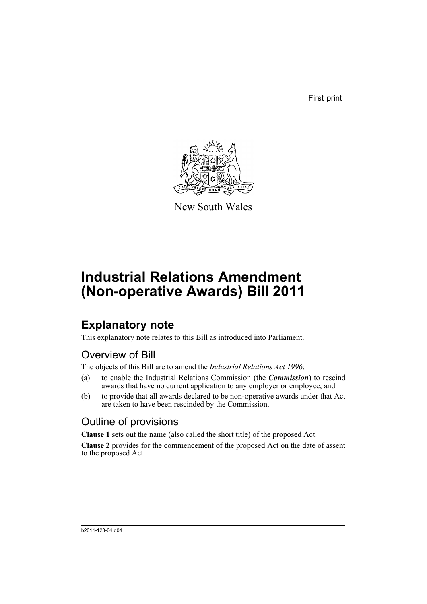First print



New South Wales

# **Industrial Relations Amendment (Non-operative Awards) Bill 2011**

## **Explanatory note**

This explanatory note relates to this Bill as introduced into Parliament.

### Overview of Bill

The objects of this Bill are to amend the *Industrial Relations Act 1996*:

- (a) to enable the Industrial Relations Commission (the *Commission*) to rescind awards that have no current application to any employer or employee, and
- (b) to provide that all awards declared to be non-operative awards under that Act are taken to have been rescinded by the Commission.

### Outline of provisions

**Clause 1** sets out the name (also called the short title) of the proposed Act.

**Clause 2** provides for the commencement of the proposed Act on the date of assent to the proposed Act.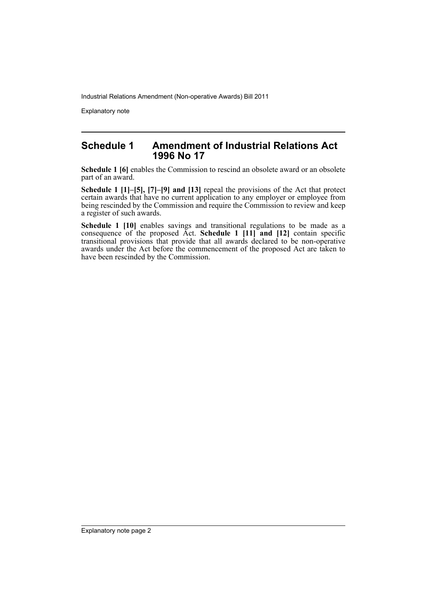Industrial Relations Amendment (Non-operative Awards) Bill 2011

Explanatory note

#### **Schedule 1 Amendment of Industrial Relations Act 1996 No 17**

**Schedule 1 [6]** enables the Commission to rescind an obsolete award or an obsolete part of an award.

**Schedule 1 [1]–[5], [7]–[9] and [13]** repeal the provisions of the Act that protect certain awards that have no current application to any employer or employee from being rescinded by the Commission and require the Commission to review and keep a register of such awards.

**Schedule 1 [10]** enables savings and transitional regulations to be made as a consequence of the proposed Act. **Schedule 1 [11] and [12]** contain specific transitional provisions that provide that all awards declared to be non-operative awards under the Act before the commencement of the proposed Act are taken to have been rescinded by the Commission.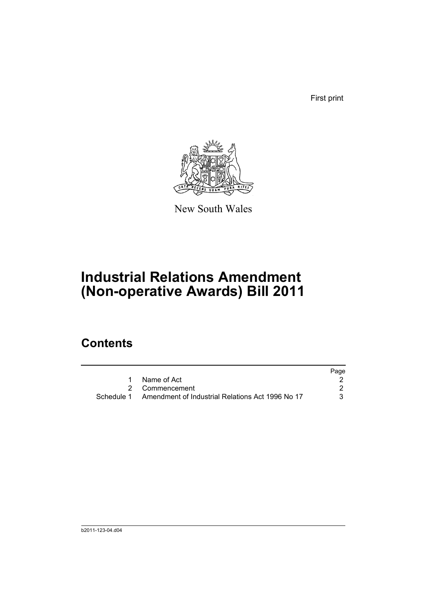First print



New South Wales

## **Industrial Relations Amendment (Non-operative Awards) Bill 2011**

### **Contents**

|                                                             | Page |
|-------------------------------------------------------------|------|
| Name of Act                                                 |      |
| 2 Commencement                                              |      |
| Schedule 1 Amendment of Industrial Relations Act 1996 No 17 | 3.   |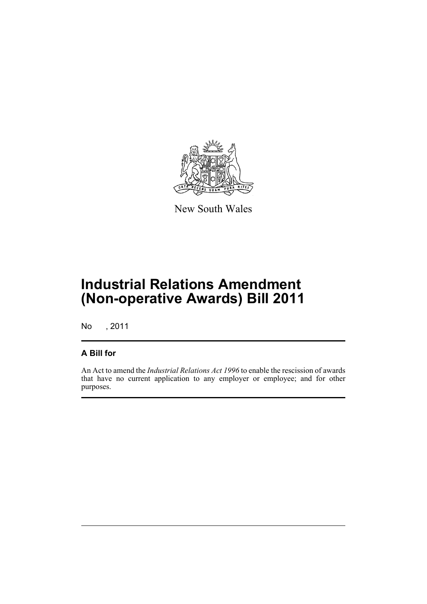

New South Wales

## **Industrial Relations Amendment (Non-operative Awards) Bill 2011**

No , 2011

#### **A Bill for**

An Act to amend the *Industrial Relations Act 1996* to enable the rescission of awards that have no current application to any employer or employee; and for other purposes.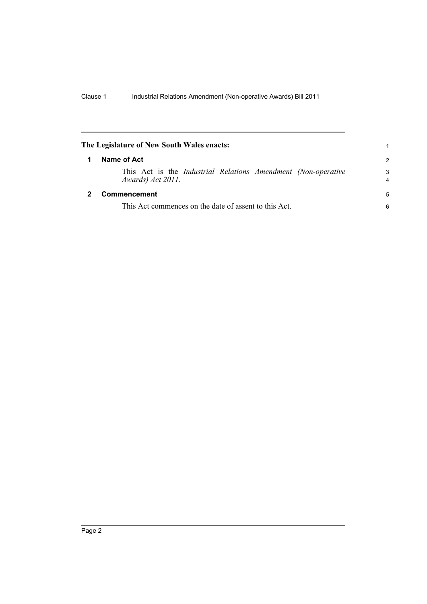<span id="page-5-1"></span><span id="page-5-0"></span>

| The Legislature of New South Wales enacts: |                                                                                             | 1                   |
|--------------------------------------------|---------------------------------------------------------------------------------------------|---------------------|
|                                            | Name of Act                                                                                 |                     |
|                                            | This Act is the <i>Industrial Relations Amendment (Non-operative</i> )<br>Awards) Act 2011. | 3<br>$\overline{4}$ |
|                                            | Commencement                                                                                | 5                   |
|                                            | This Act commences on the date of assent to this Act.                                       |                     |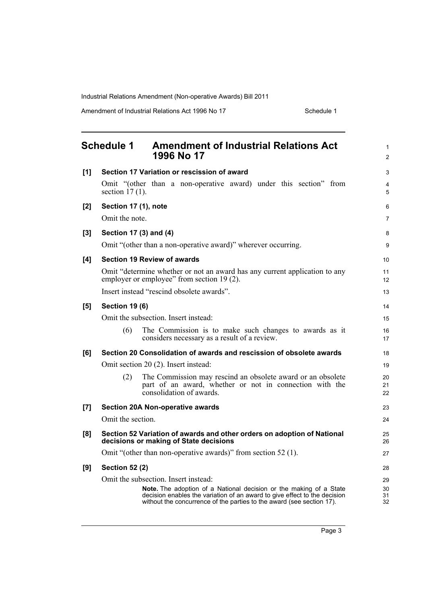Industrial Relations Amendment (Non-operative Awards) Bill 2011

Amendment of Industrial Relations Act 1996 No 17 Schedule 1

<span id="page-6-0"></span>

| <b>Schedule 1</b><br>1996 No 17 |                        | <b>Amendment of Industrial Relations Act</b>                                                                                                                                                                             | 1<br>$\overline{2}$ |
|---------------------------------|------------------------|--------------------------------------------------------------------------------------------------------------------------------------------------------------------------------------------------------------------------|---------------------|
| [1]                             |                        | Section 17 Variation or rescission of award                                                                                                                                                                              | 3                   |
|                                 | section $17(1)$ .      | Omit "(other than a non-operative award) under this section" from                                                                                                                                                        | 4<br>5              |
| [2]                             | Section 17 (1), note   |                                                                                                                                                                                                                          | 6                   |
|                                 | Omit the note.         |                                                                                                                                                                                                                          | $\overline{7}$      |
| [3]                             | Section 17 (3) and (4) |                                                                                                                                                                                                                          | 8                   |
|                                 |                        | Omit "(other than a non-operative award)" wherever occurring.                                                                                                                                                            | 9                   |
| [4]                             |                        | <b>Section 19 Review of awards</b>                                                                                                                                                                                       | 10                  |
|                                 |                        | Omit "determine whether or not an award has any current application to any<br>employer or employee" from section 19 (2).                                                                                                 | 11<br>12            |
|                                 |                        | Insert instead "rescind obsolete awards".                                                                                                                                                                                | 13                  |
| [5]                             | <b>Section 19 (6)</b>  |                                                                                                                                                                                                                          | 14                  |
|                                 |                        | Omit the subsection. Insert instead:                                                                                                                                                                                     | 15                  |
|                                 | (6)                    | The Commission is to make such changes to awards as it<br>considers necessary as a result of a review.                                                                                                                   | 16<br>17            |
| [6]                             |                        | Section 20 Consolidation of awards and rescission of obsolete awards                                                                                                                                                     | 18                  |
|                                 |                        | Omit section 20 (2). Insert instead:                                                                                                                                                                                     | 19                  |
|                                 | (2)                    | The Commission may rescind an obsolete award or an obsolete<br>part of an award, whether or not in connection with the<br>consolidation of awards.                                                                       | 20<br>21<br>22      |
| [7]                             |                        | <b>Section 20A Non-operative awards</b>                                                                                                                                                                                  | 23                  |
|                                 | Omit the section.      |                                                                                                                                                                                                                          | 24                  |
| [8]                             |                        | Section 52 Variation of awards and other orders on adoption of National<br>decisions or making of State decisions                                                                                                        | 25<br>26            |
|                                 |                        | Omit "(other than non-operative awards)" from section 52 (1).                                                                                                                                                            | 27                  |
| [9]                             | <b>Section 52 (2)</b>  |                                                                                                                                                                                                                          | 28                  |
|                                 |                        | Omit the subsection. Insert instead:                                                                                                                                                                                     | 29                  |
|                                 |                        | Note. The adoption of a National decision or the making of a State<br>decision enables the variation of an award to give effect to the decision<br>without the concurrence of the parties to the award (see section 17). | 30<br>31<br>32      |